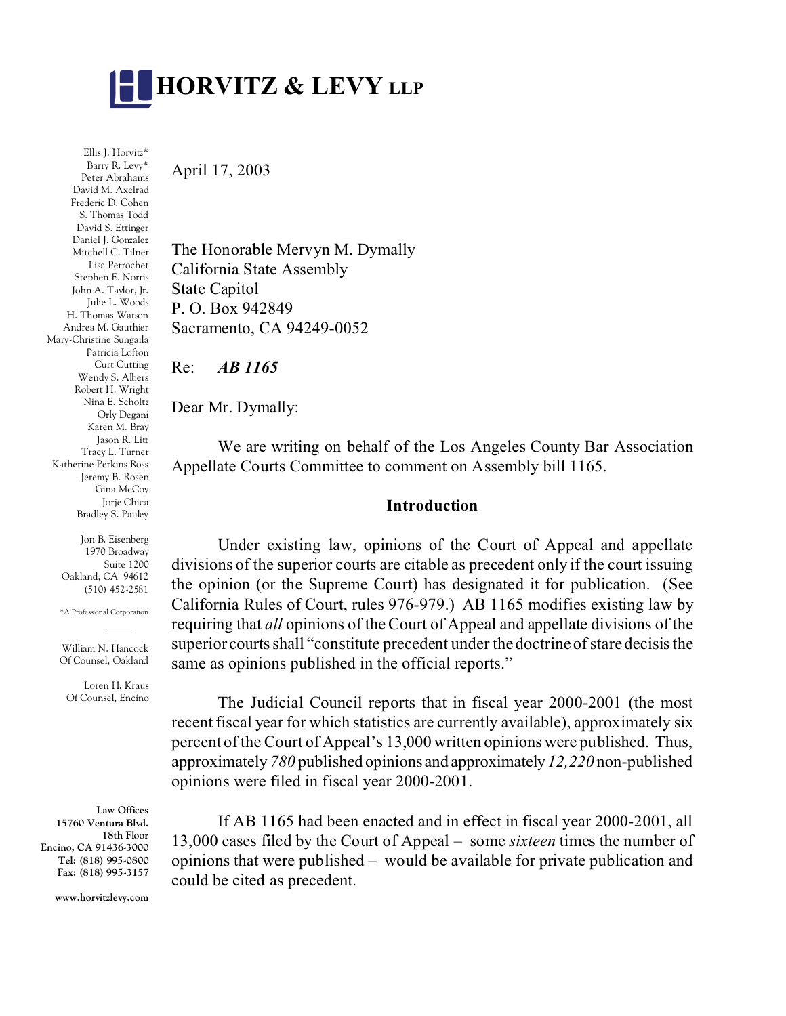

Ellis J. Horvitz\* Barry R. Levy\* Peter Abrahams David M. Axelrad Frederic D. Cohen S. Thomas Todd David S. Ettinger Daniel J. Gonzalez Mitchell C. Tilner Lisa Perrochet Stephen E. Norris John A. Taylor, Jr. Julie L. Woods H. Thomas Watson Andrea M. Gauthier Mary-Christine Sungaila Patricia Lofton Curt Cutting Wendy S. Albers Robert H. Wright Nina E. Scholtz Orly Degani Karen M. Bray Jason R. Litt Tracy L. Turner Katherine Perkins Ross Jeremy B. Rosen Gina McCoy Jorje Chica Bradley S. Pauley

> Jon B. Eisenberg 1970 Broadway Suite 1200 Oakland, CA 94612 (510) 452-2581

> \*A Professional Corporation

William N. Hancock Of Counsel, Oakland

Loren H. Kraus Of Counsel, Encino

**Law Offices 15760 Ventura Blvd. 18th Floor Encino, CA 91436-3000 Tel: (818) 995-0800 Fax: (818) 995-3157**

**www.horvitzlevy.com**

April 17, 2003

The Honorable Mervyn M. Dymally California State Assembly State Capitol P. O. Box 942849 Sacramento, CA 94249-0052

Re: *AB 1165*

Dear Mr. Dymally:

We are writing on behalf of the Los Angeles County Bar Association Appellate Courts Committee to comment on Assembly bill 1165.

### **Introduction**

Under existing law, opinions of the Court of Appeal and appellate divisions of the superior courts are citable as precedent only if the court issuing the opinion (or the Supreme Court) has designated it for publication. (See California Rules of Court, rules 976-979.) AB 1165 modifies existing law by requiring that *all* opinions of the Court of Appeal and appellate divisions of the superior courts shall "constitute precedent under the doctrine of stare decisis the same as opinions published in the official reports."

The Judicial Council reports that in fiscal year 2000-2001 (the most recent fiscal year for which statistics are currently available), approximately six percent of the Court of Appeal's 13,000 written opinions were published. Thus, approximately *780* published opinions and approximately *12,220* non-published opinions were filed in fiscal year 2000-2001.

If AB 1165 had been enacted and in effect in fiscal year 2000-2001, all 13,000 cases filed by the Court of Appeal – some *sixteen* times the number of opinions that were published – would be available for private publication and could be cited as precedent.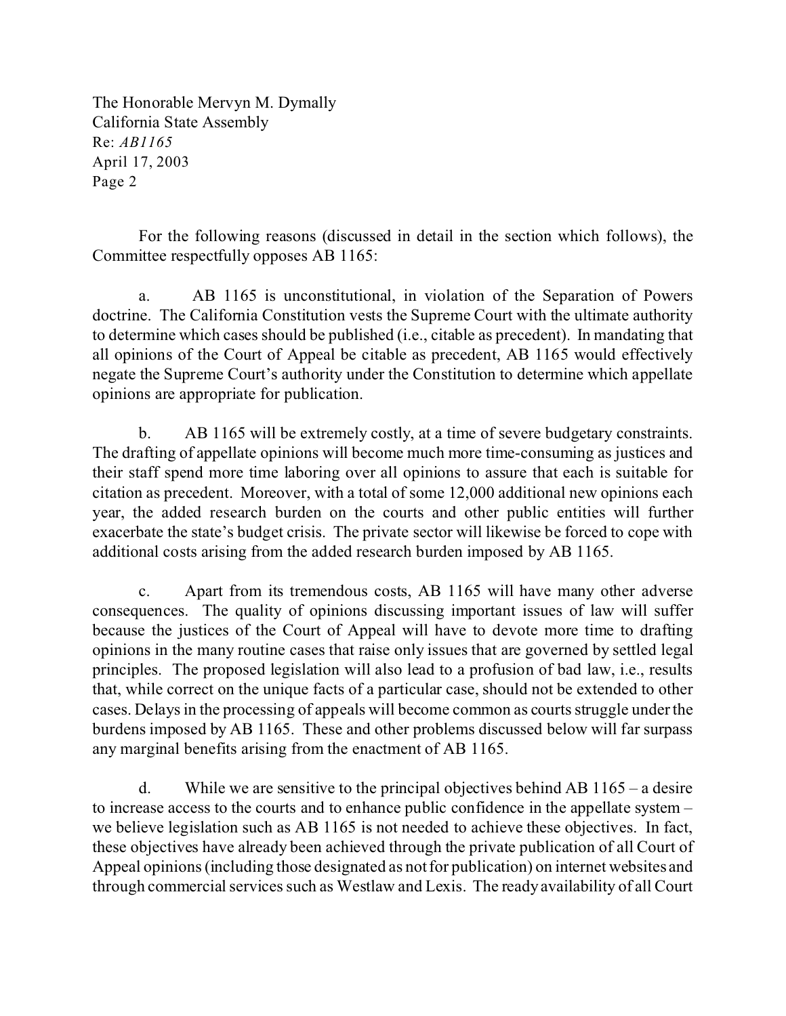For the following reasons (discussed in detail in the section which follows), the Committee respectfully opposes AB 1165:

a. AB 1165 is unconstitutional, in violation of the Separation of Powers doctrine. The California Constitution vests the Supreme Court with the ultimate authority to determine which cases should be published (i.e., citable as precedent). In mandating that all opinions of the Court of Appeal be citable as precedent, AB 1165 would effectively negate the Supreme Court's authority under the Constitution to determine which appellate opinions are appropriate for publication.

b. AB 1165 will be extremely costly, at a time of severe budgetary constraints. The drafting of appellate opinions will become much more time-consuming as justices and their staff spend more time laboring over all opinions to assure that each is suitable for citation as precedent. Moreover, with a total of some 12,000 additional new opinions each year, the added research burden on the courts and other public entities will further exacerbate the state's budget crisis. The private sector will likewise be forced to cope with additional costs arising from the added research burden imposed by AB 1165.

c. Apart from its tremendous costs, AB 1165 will have many other adverse consequences. The quality of opinions discussing important issues of law will suffer because the justices of the Court of Appeal will have to devote more time to drafting opinions in the many routine cases that raise only issues that are governed by settled legal principles. The proposed legislation will also lead to a profusion of bad law, i.e., results that, while correct on the unique facts of a particular case, should not be extended to other cases. Delays in the processing of appeals will become common as courts struggle under the burdens imposed by AB 1165. These and other problems discussed below will far surpass any marginal benefits arising from the enactment of AB 1165.

d. While we are sensitive to the principal objectives behind AB 1165 – a desire to increase access to the courts and to enhance public confidence in the appellate system – we believe legislation such as AB 1165 is not needed to achieve these objectives. In fact, these objectives have already been achieved through the private publication of all Court of Appeal opinions (including those designated as not for publication) on internet websites and through commercial services such as Westlaw and Lexis. The ready availability of all Court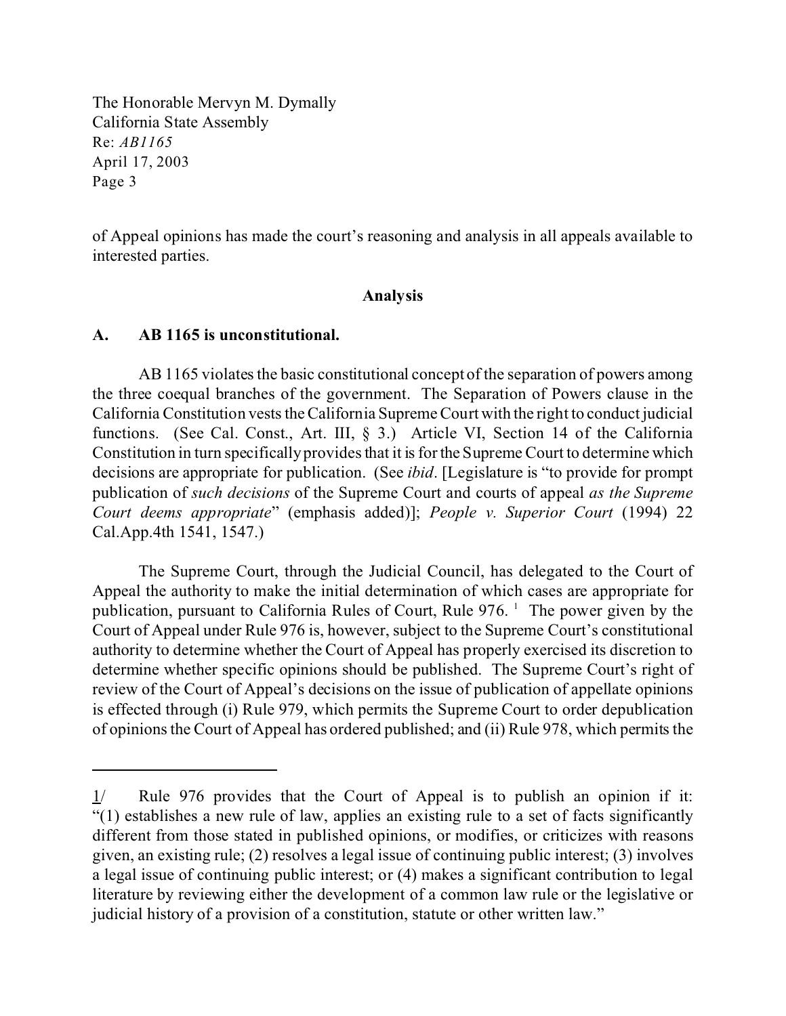of Appeal opinions has made the court's reasoning and analysis in all appeals available to interested parties.

### **Analysis**

#### **A. AB 1165 is unconstitutional.**

AB 1165 violates the basic constitutional concept of the separation of powers among the three coequal branches of the government. The Separation of Powers clause in the California Constitution vests the California Supreme Court with the right to conduct judicial functions. (See Cal. Const., Art. III, § 3.) Article VI, Section 14 of the California Constitution in turn specifically provides that it is for the Supreme Court to determine which decisions are appropriate for publication. (See *ibid*. [Legislature is "to provide for prompt publication of *such decisions* of the Supreme Court and courts of appeal *as the Supreme Court deems appropriate*" (emphasis added)]; *People v. Superior Court* (1994) 22 Cal.App.4th 1541, 1547.)

The Supreme Court, through the Judicial Council, has delegated to the Court of Appeal the authority to make the initial determination of which cases are appropriate for publication, pursuant to California Rules of Court, Rule 976. <sup>1</sup> The power given by the Court of Appeal under Rule 976 is, however, subject to the Supreme Court's constitutional authority to determine whether the Court of Appeal has properly exercised its discretion to determine whether specific opinions should be published. The Supreme Court's right of review of the Court of Appeal's decisions on the issue of publication of appellate opinions is effected through (i) Rule 979, which permits the Supreme Court to order depublication of opinions the Court of Appeal has ordered published; and (ii) Rule 978, which permits the

<sup>1/</sup> Rule 976 provides that the Court of Appeal is to publish an opinion if it: "(1) establishes a new rule of law, applies an existing rule to a set of facts significantly different from those stated in published opinions, or modifies, or criticizes with reasons given, an existing rule; (2) resolves a legal issue of continuing public interest; (3) involves a legal issue of continuing public interest; or (4) makes a significant contribution to legal literature by reviewing either the development of a common law rule or the legislative or judicial history of a provision of a constitution, statute or other written law."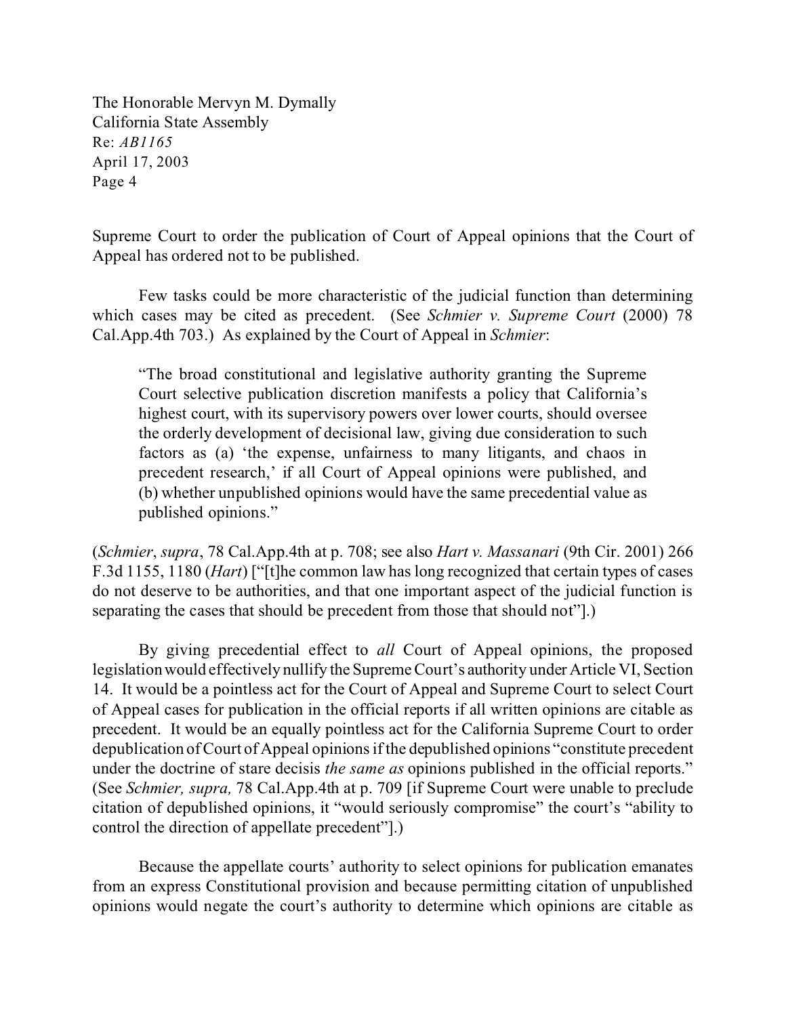Supreme Court to order the publication of Court of Appeal opinions that the Court of Appeal has ordered not to be published.

Few tasks could be more characteristic of the judicial function than determining which cases may be cited as precedent. (See *Schmier v. Supreme Court* (2000) 78 Cal.App.4th 703.) As explained by the Court of Appeal in *Schmier*:

"The broad constitutional and legislative authority granting the Supreme Court selective publication discretion manifests a policy that California's highest court, with its supervisory powers over lower courts, should oversee the orderly development of decisional law, giving due consideration to such factors as (a) 'the expense, unfairness to many litigants, and chaos in precedent research,' if all Court of Appeal opinions were published, and (b) whether unpublished opinions would have the same precedential value as published opinions."

(*Schmier*, *supra*, 78 Cal.App.4th at p. 708; see also *Hart v. Massanari* (9th Cir. 2001) 266 F.3d 1155, 1180 (*Hart*) ["[t]he common law has long recognized that certain types of cases do not deserve to be authorities, and that one important aspect of the judicial function is separating the cases that should be precedent from those that should not"].)

By giving precedential effect to *all* Court of Appeal opinions, the proposed legislation would effectively nullify the Supreme Court's authority under Article VI, Section 14. It would be a pointless act for the Court of Appeal and Supreme Court to select Court of Appeal cases for publication in the official reports if all written opinions are citable as precedent. It would be an equally pointless act for the California Supreme Court to order depublication of Court of Appeal opinions if the depublished opinions "constitute precedent under the doctrine of stare decisis *the same as* opinions published in the official reports." (See *Schmier, supra,* 78 Cal.App.4th at p. 709 [if Supreme Court were unable to preclude citation of depublished opinions, it "would seriously compromise" the court's "ability to control the direction of appellate precedent"].)

Because the appellate courts' authority to select opinions for publication emanates from an express Constitutional provision and because permitting citation of unpublished opinions would negate the court's authority to determine which opinions are citable as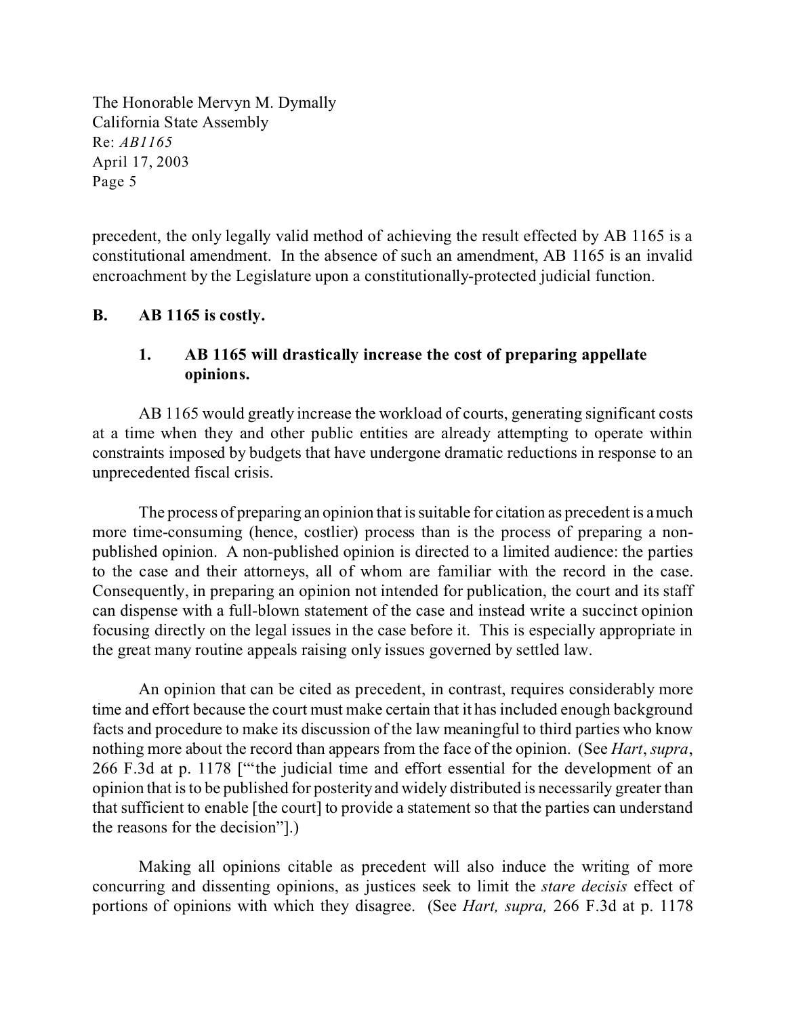precedent, the only legally valid method of achieving the result effected by AB 1165 is a constitutional amendment. In the absence of such an amendment, AB 1165 is an invalid encroachment by the Legislature upon a constitutionally-protected judicial function.

### **B. AB 1165 is costly.**

# **1. AB 1165 will drastically increase the cost of preparing appellate opinions.**

AB 1165 would greatly increase the workload of courts, generating significant costs at a time when they and other public entities are already attempting to operate within constraints imposed by budgets that have undergone dramatic reductions in response to an unprecedented fiscal crisis.

The process of preparing an opinion that is suitable for citation as precedent is a much more time-consuming (hence, costlier) process than is the process of preparing a nonpublished opinion. A non-published opinion is directed to a limited audience: the parties to the case and their attorneys, all of whom are familiar with the record in the case. Consequently, in preparing an opinion not intended for publication, the court and its staff can dispense with a full-blown statement of the case and instead write a succinct opinion focusing directly on the legal issues in the case before it. This is especially appropriate in the great many routine appeals raising only issues governed by settled law.

An opinion that can be cited as precedent, in contrast, requires considerably more time and effort because the court must make certain that it has included enough background facts and procedure to make its discussion of the law meaningful to third parties who know nothing more about the record than appears from the face of the opinion. (See *Hart*, *supra*, 266 F.3d at p. 1178 ["'the judicial time and effort essential for the development of an opinion that is to be published for posterity and widely distributed is necessarily greater than that sufficient to enable [the court] to provide a statement so that the parties can understand the reasons for the decision"].)

Making all opinions citable as precedent will also induce the writing of more concurring and dissenting opinions, as justices seek to limit the *stare decisis* effect of portions of opinions with which they disagree. (See *Hart, supra,* 266 F.3d at p. 1178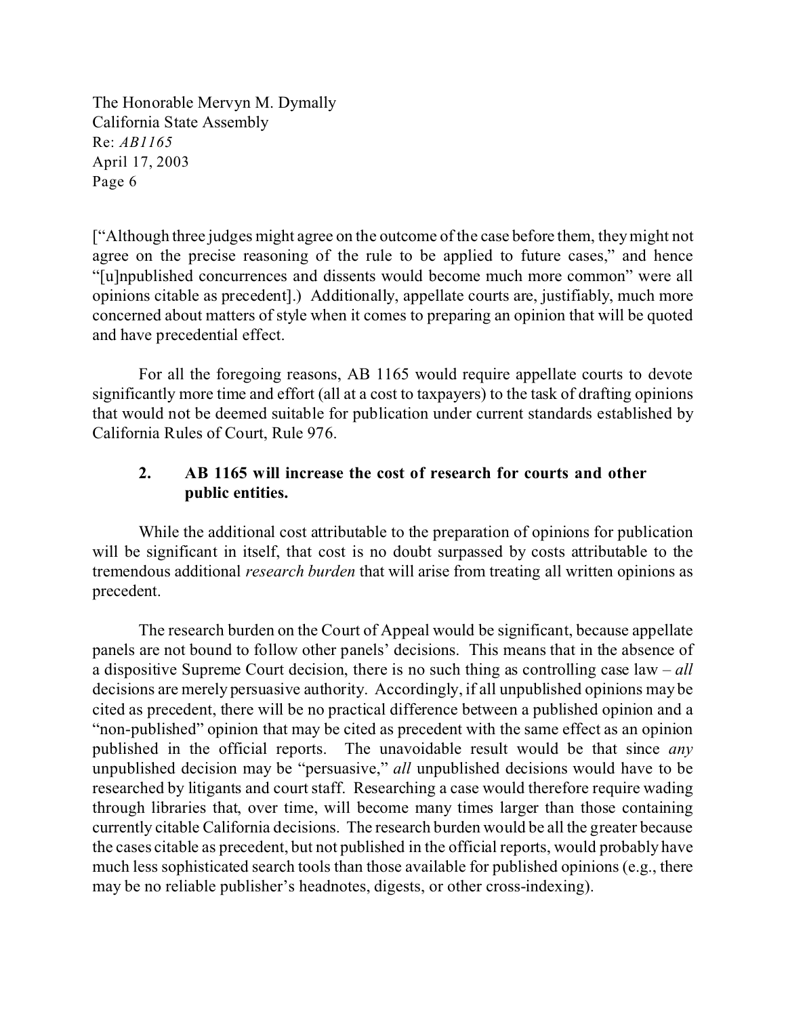["Although three judges might agree on the outcome of the case before them, they might not agree on the precise reasoning of the rule to be applied to future cases," and hence "[u]npublished concurrences and dissents would become much more common" were all opinions citable as precedent].) Additionally, appellate courts are, justifiably, much more concerned about matters of style when it comes to preparing an opinion that will be quoted and have precedential effect.

For all the foregoing reasons, AB 1165 would require appellate courts to devote significantly more time and effort (all at a cost to taxpayers) to the task of drafting opinions that would not be deemed suitable for publication under current standards established by California Rules of Court, Rule 976.

# **2. AB 1165 will increase the cost of research for courts and other public entities.**

While the additional cost attributable to the preparation of opinions for publication will be significant in itself, that cost is no doubt surpassed by costs attributable to the tremendous additional *research burden* that will arise from treating all written opinions as precedent.

The research burden on the Court of Appeal would be significant, because appellate panels are not bound to follow other panels' decisions. This means that in the absence of a dispositive Supreme Court decision, there is no such thing as controlling case law – *all* decisions are merely persuasive authority. Accordingly, if all unpublished opinions may be cited as precedent, there will be no practical difference between a published opinion and a "non-published" opinion that may be cited as precedent with the same effect as an opinion published in the official reports. The unavoidable result would be that since *any* unpublished decision may be "persuasive," *all* unpublished decisions would have to be researched by litigants and court staff. Researching a case would therefore require wading through libraries that, over time, will become many times larger than those containing currently citable California decisions. The research burden would be all the greater because the cases citable as precedent, but not published in the official reports, would probably have much less sophisticated search tools than those available for published opinions (e.g., there may be no reliable publisher's headnotes, digests, or other cross-indexing).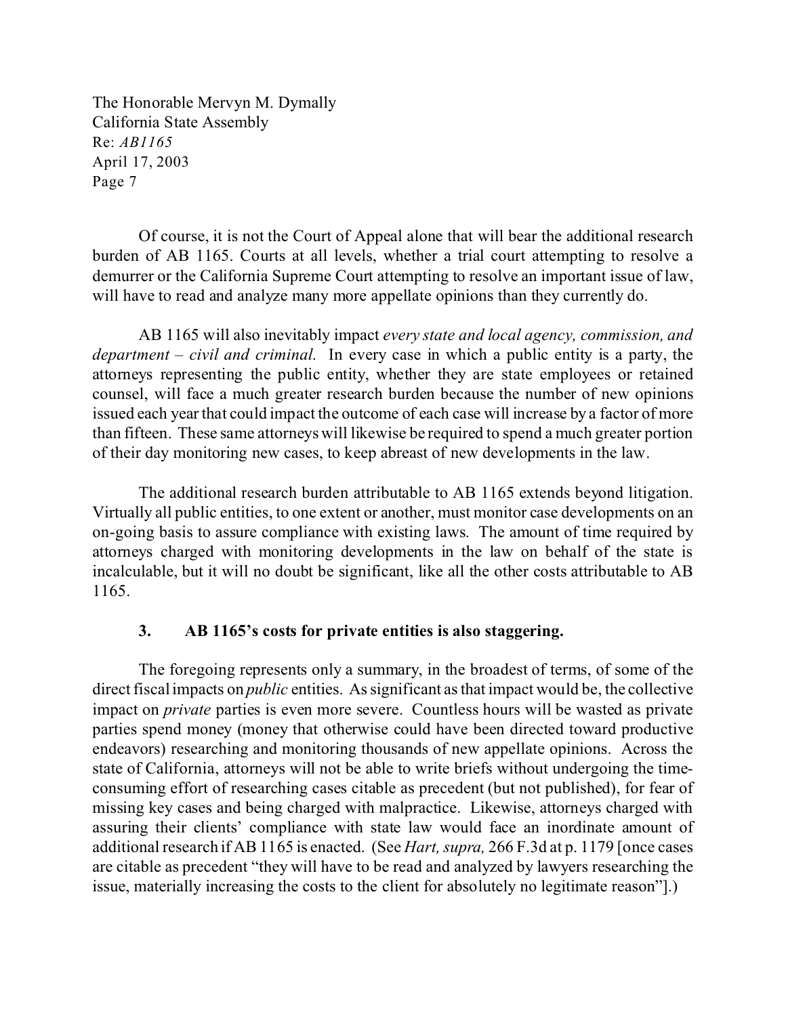Of course, it is not the Court of Appeal alone that will bear the additional research burden of AB 1165. Courts at all levels, whether a trial court attempting to resolve a demurrer or the California Supreme Court attempting to resolve an important issue of law, will have to read and analyze many more appellate opinions than they currently do.

AB 1165 will also inevitably impact *every state and local agency, commission, and department – civil and criminal*. In every case in which a public entity is a party, the attorneys representing the public entity, whether they are state employees or retained counsel, will face a much greater research burden because the number of new opinions issued each year that could impact the outcome of each case will increase by a factor of more than fifteen. These same attorneys will likewise be required to spend a much greater portion of their day monitoring new cases, to keep abreast of new developments in the law.

The additional research burden attributable to AB 1165 extends beyond litigation. Virtually all public entities, to one extent or another, must monitor case developments on an on-going basis to assure compliance with existing laws. The amount of time required by attorneys charged with monitoring developments in the law on behalf of the state is incalculable, but it will no doubt be significant, like all the other costs attributable to AB 1165.

### **3. AB 1165's costs for private entities is also staggering.**

The foregoing represents only a summary, in the broadest of terms, of some of the direct fiscal impacts on *public* entities. As significant as that impact would be, the collective impact on *private* parties is even more severe. Countless hours will be wasted as private parties spend money (money that otherwise could have been directed toward productive endeavors) researching and monitoring thousands of new appellate opinions. Across the state of California, attorneys will not be able to write briefs without undergoing the timeconsuming effort of researching cases citable as precedent (but not published), for fear of missing key cases and being charged with malpractice. Likewise, attorneys charged with assuring their clients' compliance with state law would face an inordinate amount of additional research if AB 1165 is enacted. (See *Hart, supra,* 266 F.3d at p. 1179 [once cases are citable as precedent "they will have to be read and analyzed by lawyers researching the issue, materially increasing the costs to the client for absolutely no legitimate reason"].)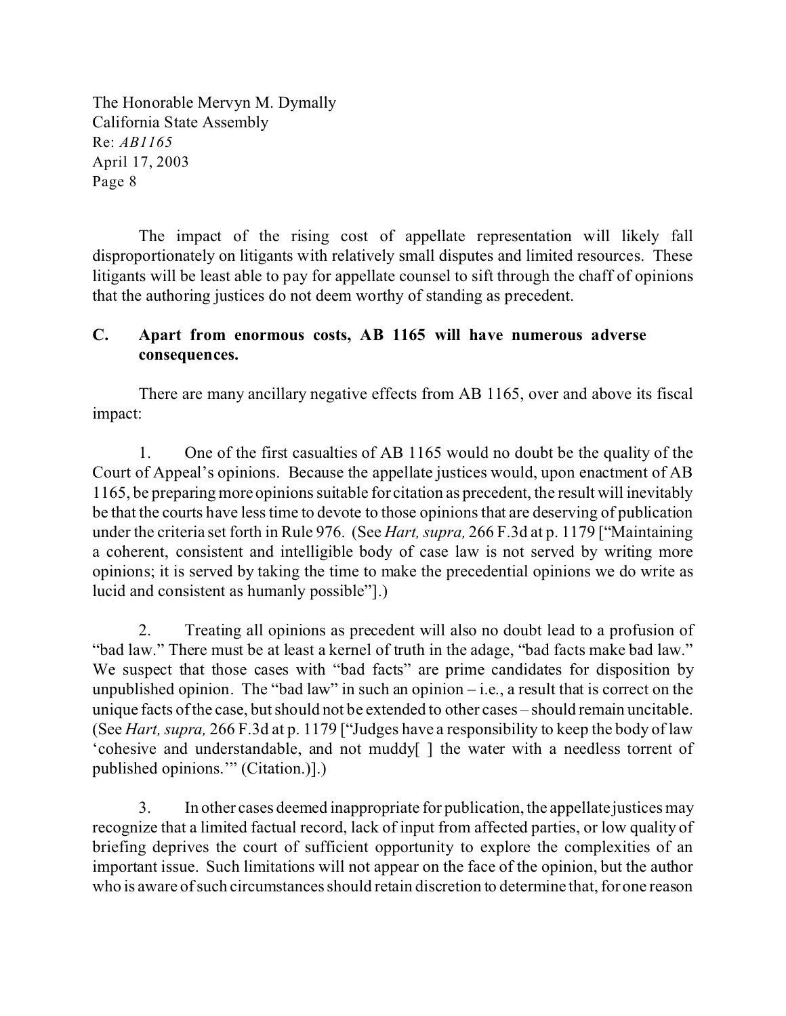The impact of the rising cost of appellate representation will likely fall disproportionately on litigants with relatively small disputes and limited resources. These litigants will be least able to pay for appellate counsel to sift through the chaff of opinions that the authoring justices do not deem worthy of standing as precedent.

### **C. Apart from enormous costs, AB 1165 will have numerous adverse consequences.**

There are many ancillary negative effects from AB 1165, over and above its fiscal impact:

1. One of the first casualties of AB 1165 would no doubt be the quality of the Court of Appeal's opinions. Because the appellate justices would, upon enactment of AB 1165, be preparing more opinions suitable for citation as precedent, the result will inevitably be that the courts have less time to devote to those opinions that are deserving of publication under the criteria set forth in Rule 976. (See *Hart, supra,* 266 F.3d at p. 1179 ["Maintaining a coherent, consistent and intelligible body of case law is not served by writing more opinions; it is served by taking the time to make the precedential opinions we do write as lucid and consistent as humanly possible"].)

2. Treating all opinions as precedent will also no doubt lead to a profusion of "bad law." There must be at least a kernel of truth in the adage, "bad facts make bad law." We suspect that those cases with "bad facts" are prime candidates for disposition by unpublished opinion. The "bad law" in such an opinion  $-$  i.e., a result that is correct on the unique facts of the case, but should not be extended to other cases – should remain uncitable. (See *Hart, supra,* 266 F.3d at p. 1179 ["Judges have a responsibility to keep the body of law 'cohesive and understandable, and not muddy[ ] the water with a needless torrent of published opinions.'" (Citation.)].)

3. In other cases deemed inappropriate for publication, the appellate justices may recognize that a limited factual record, lack of input from affected parties, or low quality of briefing deprives the court of sufficient opportunity to explore the complexities of an important issue. Such limitations will not appear on the face of the opinion, but the author who is aware of such circumstances should retain discretion to determine that, for one reason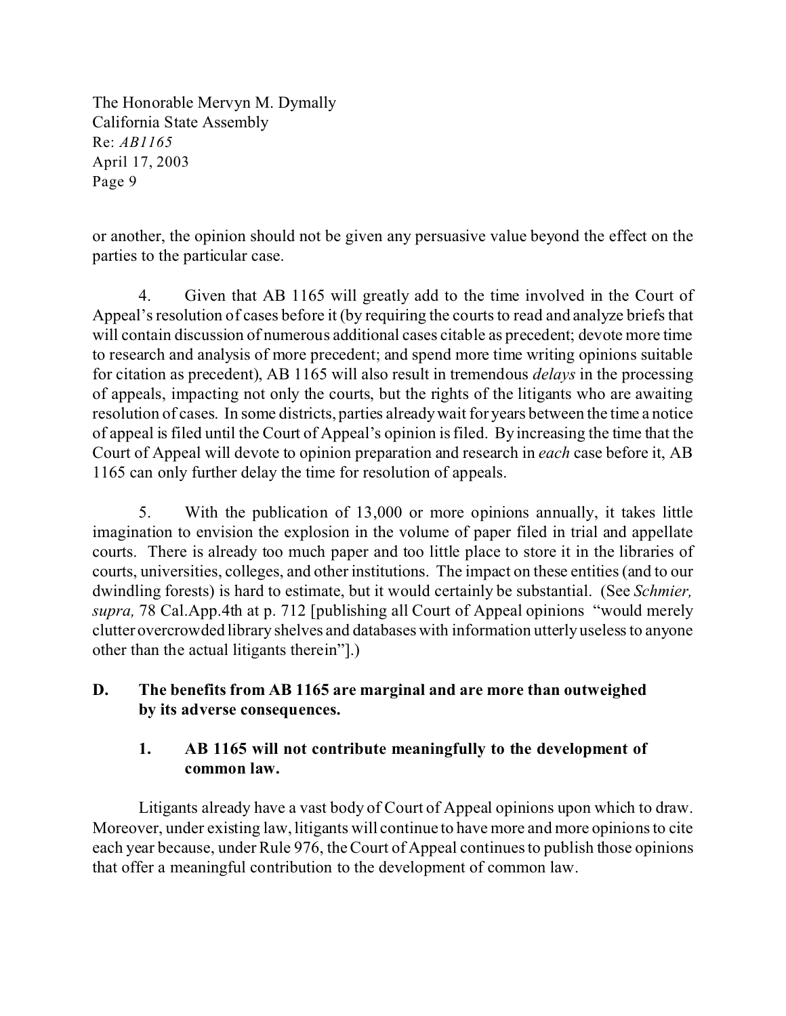or another, the opinion should not be given any persuasive value beyond the effect on the parties to the particular case.

4. Given that AB 1165 will greatly add to the time involved in the Court of Appeal's resolution of cases before it (by requiring the courts to read and analyze briefs that will contain discussion of numerous additional cases citable as precedent; devote more time to research and analysis of more precedent; and spend more time writing opinions suitable for citation as precedent), AB 1165 will also result in tremendous *delays* in the processing of appeals, impacting not only the courts, but the rights of the litigants who are awaiting resolution of cases. In some districts, parties already wait for years between the time a notice of appeal is filed until the Court of Appeal's opinion is filed. By increasing the time that the Court of Appeal will devote to opinion preparation and research in *each* case before it, AB 1165 can only further delay the time for resolution of appeals.

5. With the publication of 13,000 or more opinions annually, it takes little imagination to envision the explosion in the volume of paper filed in trial and appellate courts. There is already too much paper and too little place to store it in the libraries of courts, universities, colleges, and other institutions. The impact on these entities (and to our dwindling forests) is hard to estimate, but it would certainly be substantial. (See *Schmier, supra,* 78 Cal.App.4th at p. 712 [publishing all Court of Appeal opinions "would merely clutter overcrowded library shelves and databases with information utterly useless to anyone other than the actual litigants therein"].)

# **D. The benefits from AB 1165 are marginal and are more than outweighed by its adverse consequences.**

# **1. AB 1165 will not contribute meaningfully to the development of common law.**

Litigants already have a vast body of Court of Appeal opinions upon which to draw. Moreover, under existing law, litigants will continue to have more and more opinions to cite each year because, under Rule 976, the Court of Appeal continues to publish those opinions that offer a meaningful contribution to the development of common law.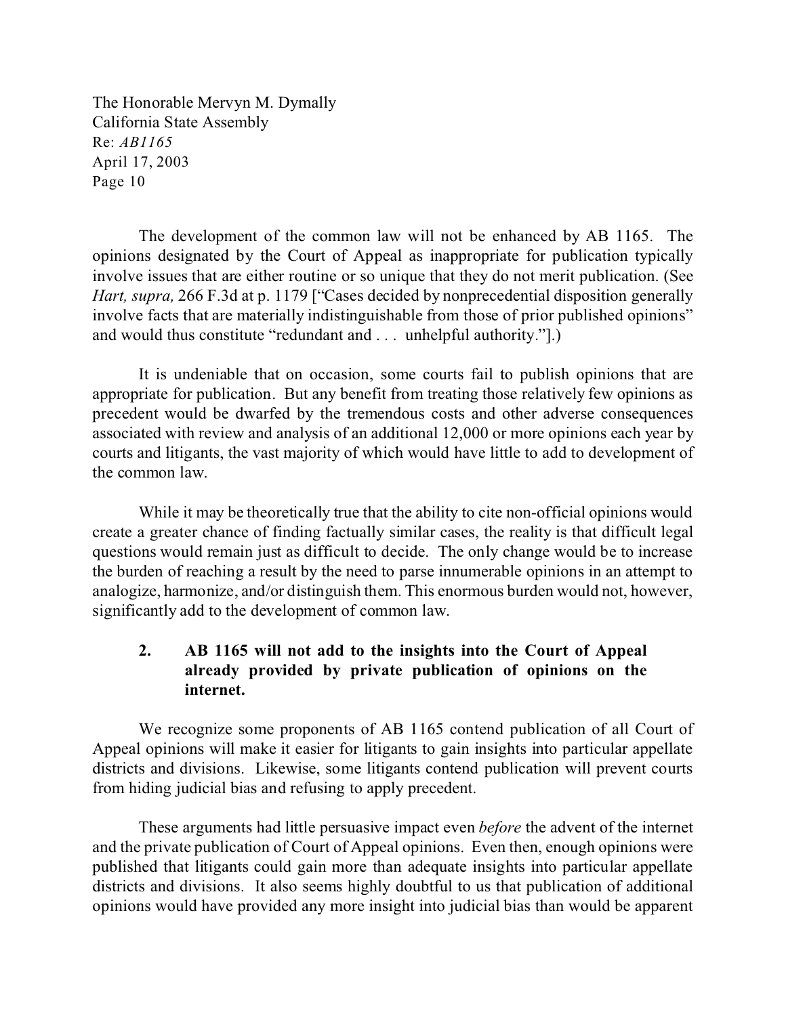The development of the common law will not be enhanced by AB 1165. The opinions designated by the Court of Appeal as inappropriate for publication typically involve issues that are either routine or so unique that they do not merit publication. (See *Hart, supra,* 266 F.3d at p. 1179 ["Cases decided by nonprecedential disposition generally involve facts that are materially indistinguishable from those of prior published opinions" and would thus constitute "redundant and . . . unhelpful authority."].)

It is undeniable that on occasion, some courts fail to publish opinions that are appropriate for publication. But any benefit from treating those relatively few opinions as precedent would be dwarfed by the tremendous costs and other adverse consequences associated with review and analysis of an additional 12,000 or more opinions each year by courts and litigants, the vast majority of which would have little to add to development of the common law.

While it may be theoretically true that the ability to cite non-official opinions would create a greater chance of finding factually similar cases, the reality is that difficult legal questions would remain just as difficult to decide. The only change would be to increase the burden of reaching a result by the need to parse innumerable opinions in an attempt to analogize, harmonize, and/or distinguish them. This enormous burden would not, however, significantly add to the development of common law.

# **2. AB 1165 will not add to the insights into the Court of Appeal already provided by private publication of opinions on the internet.**

We recognize some proponents of AB 1165 contend publication of all Court of Appeal opinions will make it easier for litigants to gain insights into particular appellate districts and divisions. Likewise, some litigants contend publication will prevent courts from hiding judicial bias and refusing to apply precedent.

These arguments had little persuasive impact even *before* the advent of the internet and the private publication of Court of Appeal opinions. Even then, enough opinions were published that litigants could gain more than adequate insights into particular appellate districts and divisions. It also seems highly doubtful to us that publication of additional opinions would have provided any more insight into judicial bias than would be apparent